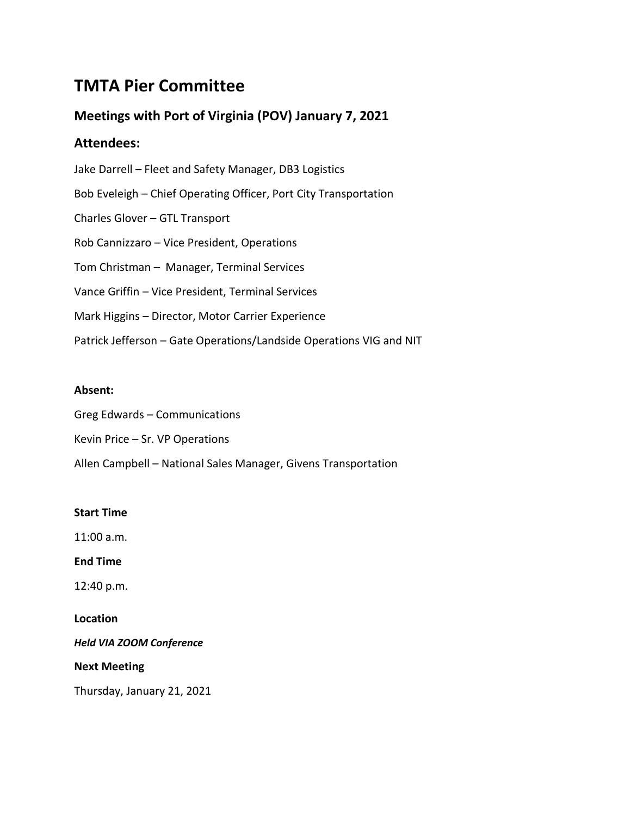# **TMTA Pier Committee**

# **Meetings with Port of Virginia (POV) January 7, 2021**

# **Attendees:**

Jake Darrell – Fleet and Safety Manager, DB3 Logistics Bob Eveleigh – Chief Operating Officer, Port City Transportation Charles Glover – GTL Transport Rob Cannizzaro – Vice President, Operations Tom Christman – Manager, Terminal Services Vance Griffin – Vice President, Terminal Services Mark Higgins – Director, Motor Carrier Experience Patrick Jefferson – Gate Operations/Landside Operations VIG and NIT

## **Absent:**

Greg Edwards – Communications Kevin Price – Sr. VP Operations Allen Campbell – National Sales Manager, Givens Transportation

### **Start Time**

11:00 a.m.

**End Time**

12:40 p.m.

### **Location**

*Held VIA ZOOM Conference*

### **Next Meeting**

Thursday, January 21, 2021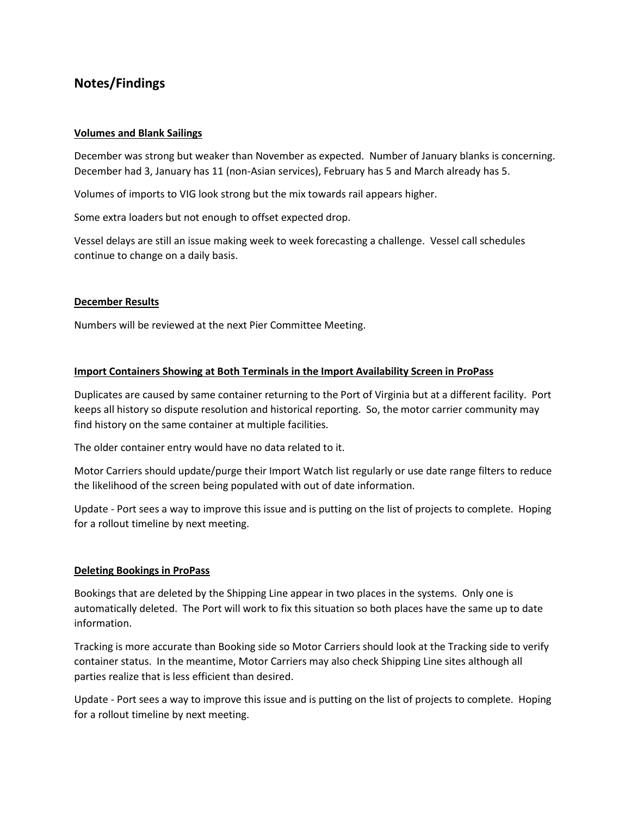# **Notes/Findings**

#### **Volumes and Blank Sailings**

December was strong but weaker than November as expected. Number of January blanks is concerning. December had 3, January has 11 (non-Asian services), February has 5 and March already has 5.

Volumes of imports to VIG look strong but the mix towards rail appears higher.

Some extra loaders but not enough to offset expected drop.

Vessel delays are still an issue making week to week forecasting a challenge. Vessel call schedules continue to change on a daily basis.

#### **December Results**

Numbers will be reviewed at the next Pier Committee Meeting.

#### **Import Containers Showing at Both Terminals in the Import Availability Screen in ProPass**

Duplicates are caused by same container returning to the Port of Virginia but at a different facility. Port keeps all history so dispute resolution and historical reporting. So, the motor carrier community may find history on the same container at multiple facilities.

The older container entry would have no data related to it.

Motor Carriers should update/purge their Import Watch list regularly or use date range filters to reduce the likelihood of the screen being populated with out of date information.

Update - Port sees a way to improve this issue and is putting on the list of projects to complete. Hoping for a rollout timeline by next meeting.

#### **Deleting Bookings in ProPass**

Bookings that are deleted by the Shipping Line appear in two places in the systems. Only one is automatically deleted. The Port will work to fix this situation so both places have the same up to date information.

Tracking is more accurate than Booking side so Motor Carriers should look at the Tracking side to verify container status. In the meantime, Motor Carriers may also check Shipping Line sites although all parties realize that is less efficient than desired.

Update - Port sees a way to improve this issue and is putting on the list of projects to complete. Hoping for a rollout timeline by next meeting.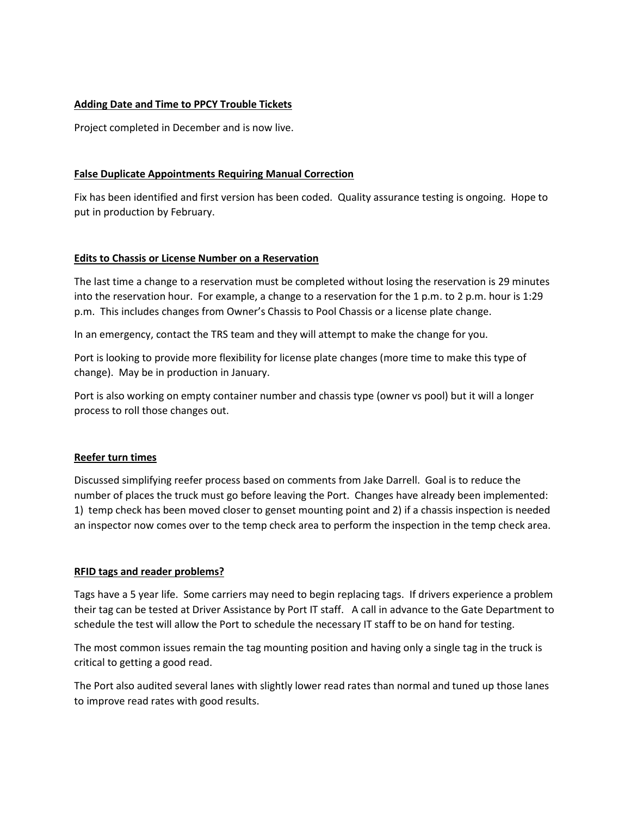#### **Adding Date and Time to PPCY Trouble Tickets**

Project completed in December and is now live.

#### **False Duplicate Appointments Requiring Manual Correction**

Fix has been identified and first version has been coded. Quality assurance testing is ongoing. Hope to put in production by February.

#### **Edits to Chassis or License Number on a Reservation**

The last time a change to a reservation must be completed without losing the reservation is 29 minutes into the reservation hour. For example, a change to a reservation for the 1 p.m. to 2 p.m. hour is 1:29 p.m. This includes changes from Owner's Chassis to Pool Chassis or a license plate change.

In an emergency, contact the TRS team and they will attempt to make the change for you.

Port is looking to provide more flexibility for license plate changes (more time to make this type of change). May be in production in January.

Port is also working on empty container number and chassis type (owner vs pool) but it will a longer process to roll those changes out.

#### **Reefer turn times**

Discussed simplifying reefer process based on comments from Jake Darrell. Goal is to reduce the number of places the truck must go before leaving the Port. Changes have already been implemented: 1) temp check has been moved closer to genset mounting point and 2) if a chassis inspection is needed an inspector now comes over to the temp check area to perform the inspection in the temp check area.

#### **RFID tags and reader problems?**

Tags have a 5 year life. Some carriers may need to begin replacing tags. If drivers experience a problem their tag can be tested at Driver Assistance by Port IT staff. A call in advance to the Gate Department to schedule the test will allow the Port to schedule the necessary IT staff to be on hand for testing.

The most common issues remain the tag mounting position and having only a single tag in the truck is critical to getting a good read.

The Port also audited several lanes with slightly lower read rates than normal and tuned up those lanes to improve read rates with good results.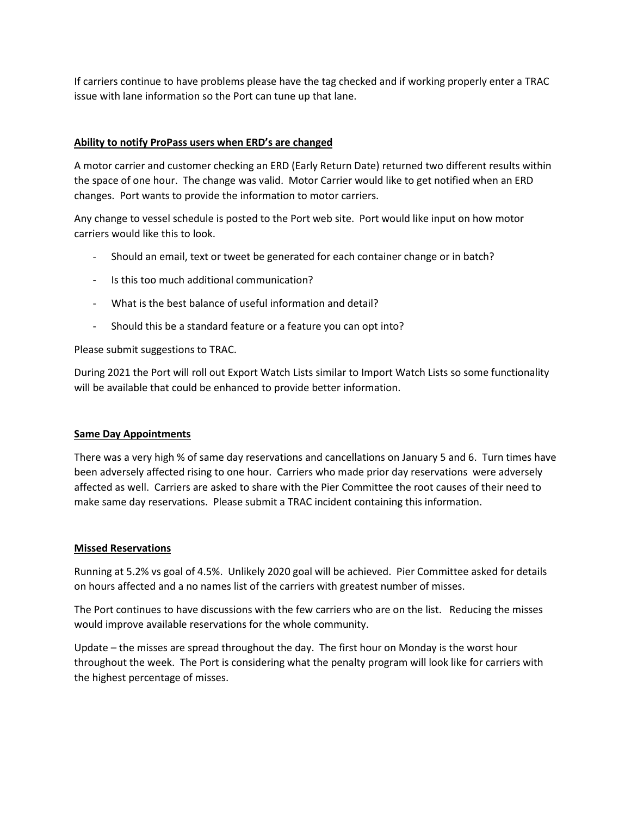If carriers continue to have problems please have the tag checked and if working properly enter a TRAC issue with lane information so the Port can tune up that lane.

#### **Ability to notify ProPass users when ERD's are changed**

A motor carrier and customer checking an ERD (Early Return Date) returned two different results within the space of one hour. The change was valid. Motor Carrier would like to get notified when an ERD changes. Port wants to provide the information to motor carriers.

Any change to vessel schedule is posted to the Port web site. Port would like input on how motor carriers would like this to look.

- Should an email, text or tweet be generated for each container change or in batch?
- Is this too much additional communication?
- What is the best balance of useful information and detail?
- Should this be a standard feature or a feature you can opt into?

Please submit suggestions to TRAC.

During 2021 the Port will roll out Export Watch Lists similar to Import Watch Lists so some functionality will be available that could be enhanced to provide better information.

#### **Same Day Appointments**

There was a very high % of same day reservations and cancellations on January 5 and 6. Turn times have been adversely affected rising to one hour. Carriers who made prior day reservations were adversely affected as well. Carriers are asked to share with the Pier Committee the root causes of their need to make same day reservations. Please submit a TRAC incident containing this information.

#### **Missed Reservations**

Running at 5.2% vs goal of 4.5%. Unlikely 2020 goal will be achieved. Pier Committee asked for details on hours affected and a no names list of the carriers with greatest number of misses.

The Port continues to have discussions with the few carriers who are on the list. Reducing the misses would improve available reservations for the whole community.

Update – the misses are spread throughout the day. The first hour on Monday is the worst hour throughout the week. The Port is considering what the penalty program will look like for carriers with the highest percentage of misses.